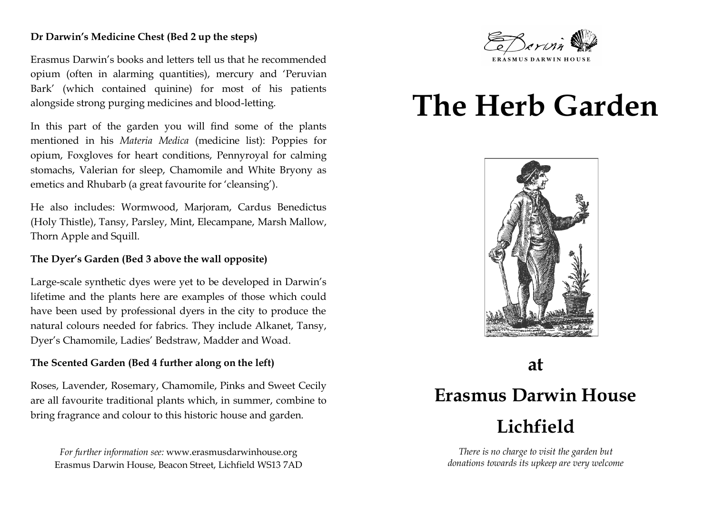### **Dr Darwin's Medicine Chest (Bed 2 up the steps)**

Erasmus Darwin's books and letters tell us that he recommended opium (often in alarming quantities), mercury and 'Peruvian Bark' (which contained quinine) for most of his patients alongside strong purging medicines and blood-letting.

In this part of the garden you will find some of the plants mentioned in his *Materia Medica* (medicine list): Poppies for opium, Foxgloves for heart conditions, Pennyroyal for calming stomachs, Valerian for sleep, Chamomile and White Bryony as emetics and Rhubarb (a great favourite for 'cleansing').

He also includes: Wormwood, Marjoram, Cardus Benedictus (Holy Thistle), Tansy, Parsley, Mint, Elecampane, Marsh Mallow, Thorn Apple and Squill.

## **The Dyer's Garden (Bed 3 above the wall opposite)**

Large-scale synthetic dyes were yet to be developed in Darwin's lifetime and the plants here are examples of those which could have been used by professional dyers in the city to produce the natural colours needed for fabrics. They include Alkanet, Tansy, Dyer's Chamomile, Ladies' Bedstraw, Madder and Woad.

### **The Scented Garden (Bed 4 further along on the left)**

Roses, Lavender, Rosemary, Chamomile, Pinks and Sweet Cecily are all favourite traditional plants which, in summer, combine to bring fragrance and colour to this historic house and garden.

*For further information see:* www.erasmusdarwinhouse.org Erasmus Darwin House, Beacon Street, Lichfield WS13 7AD



# **The Herb Garden**



# **at Erasmus Darwin House Lichfield**

*There is no charge to visit the garden but donations towards its upkeep are very welcome*